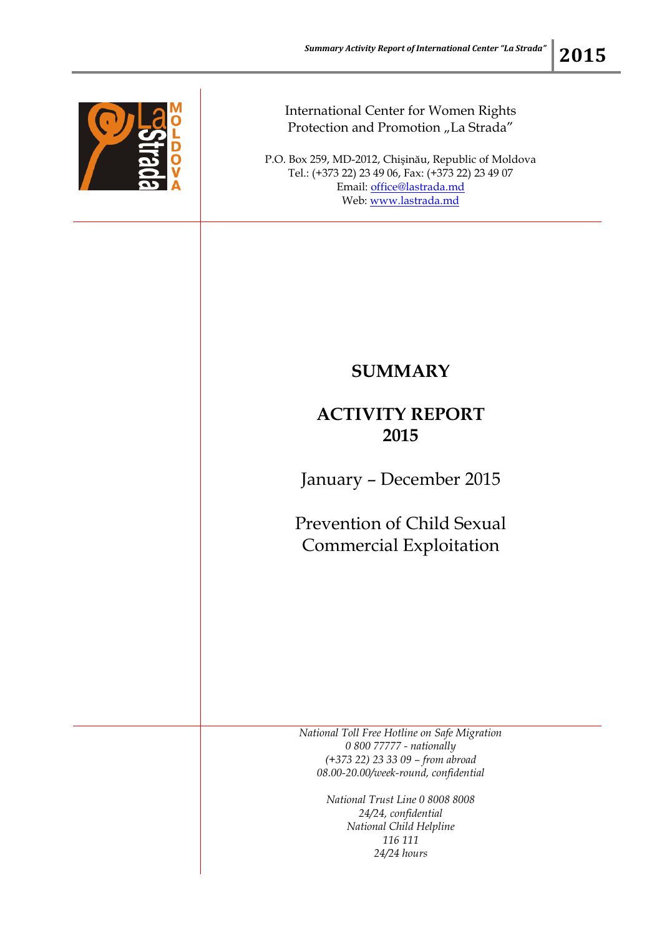

## International Center for Women Rights Protection and Promotion "La Strada"

P.O. Box 259, MD-2012, Chişinău, Republic of Moldova Tel.: (+373 22) 23 49 06, Fax: (+373 22) 23 49 07 Email: [office@lastrada.md](mailto:office@lastrada.md) Web: [www.lastrada.md](http://www.lastrada.md/)

## **SUMMARY**

## **ACTIVITY REPORT 2015**

January – December 2015

Prevention of Child Sexual Commercial Exploitation

*National Toll Free Hotline on Safe Migration 0 800 77777 - nationally (+373 22) 23 33 09 – from abroad 08.00-20.00/week-round, confidential*

> *National Trust Line 0 8008 8008 24/24, confidential National Child Helpline 116 111 24/24 hours*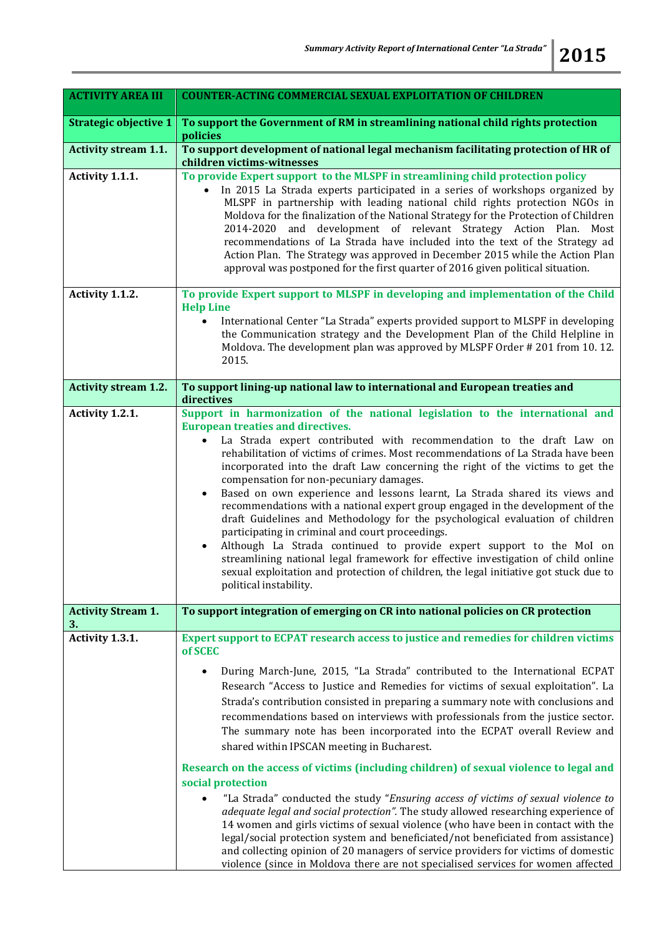| <b>ACTIVITY AREA III</b>        | <b>COUNTER-ACTING COMMERCIAL SEXUAL EXPLOITATION OF CHILDREN</b>                                                                                                                                                                                                                                                                                                                                                                                                                                                                                                                                                                                                                                                                                                                                                                                                                                                                                                                                                                                                                                                                          |
|---------------------------------|-------------------------------------------------------------------------------------------------------------------------------------------------------------------------------------------------------------------------------------------------------------------------------------------------------------------------------------------------------------------------------------------------------------------------------------------------------------------------------------------------------------------------------------------------------------------------------------------------------------------------------------------------------------------------------------------------------------------------------------------------------------------------------------------------------------------------------------------------------------------------------------------------------------------------------------------------------------------------------------------------------------------------------------------------------------------------------------------------------------------------------------------|
| <b>Strategic objective 1</b>    | To support the Government of RM in streamlining national child rights protection<br>policies                                                                                                                                                                                                                                                                                                                                                                                                                                                                                                                                                                                                                                                                                                                                                                                                                                                                                                                                                                                                                                              |
| <b>Activity stream 1.1.</b>     | To support development of national legal mechanism facilitating protection of HR of<br>children victims-witnesses                                                                                                                                                                                                                                                                                                                                                                                                                                                                                                                                                                                                                                                                                                                                                                                                                                                                                                                                                                                                                         |
| Activity 1.1.1.                 | To provide Expert support to the MLSPF in streamlining child protection policy<br>In 2015 La Strada experts participated in a series of workshops organized by<br>MLSPF in partnership with leading national child rights protection NGOs in<br>Moldova for the finalization of the National Strategy for the Protection of Children<br>2014-2020 and development of relevant Strategy Action Plan. Most<br>recommendations of La Strada have included into the text of the Strategy ad<br>Action Plan. The Strategy was approved in December 2015 while the Action Plan<br>approval was postponed for the first quarter of 2016 given political situation.                                                                                                                                                                                                                                                                                                                                                                                                                                                                               |
| Activity 1.1.2.                 | To provide Expert support to MLSPF in developing and implementation of the Child<br><b>Help Line</b><br>International Center "La Strada" experts provided support to MLSPF in developing<br>$\bullet$<br>the Communication strategy and the Development Plan of the Child Helpline in<br>Moldova. The development plan was approved by MLSPF Order #201 from 10.12.<br>2015.                                                                                                                                                                                                                                                                                                                                                                                                                                                                                                                                                                                                                                                                                                                                                              |
| <b>Activity stream 1.2.</b>     | To support lining-up national law to international and European treaties and<br>directives                                                                                                                                                                                                                                                                                                                                                                                                                                                                                                                                                                                                                                                                                                                                                                                                                                                                                                                                                                                                                                                |
| Activity 1.2.1.                 | Support in harmonization of the national legislation to the international and<br><b>European treaties and directives.</b><br>La Strada expert contributed with recommendation to the draft Law on<br>$\bullet$<br>rehabilitation of victims of crimes. Most recommendations of La Strada have been<br>incorporated into the draft Law concerning the right of the victims to get the<br>compensation for non-pecuniary damages.<br>Based on own experience and lessons learnt, La Strada shared its views and<br>$\bullet$<br>recommendations with a national expert group engaged in the development of the<br>draft Guidelines and Methodology for the psychological evaluation of children<br>participating in criminal and court proceedings.<br>Although La Strada continued to provide expert support to the MoI on<br>$\bullet$<br>streamlining national legal framework for effective investigation of child online<br>sexual exploitation and protection of children, the legal initiative got stuck due to<br>political instability.                                                                                            |
| <b>Activity Stream 1.</b><br>3. | To support integration of emerging on CR into national policies on CR protection                                                                                                                                                                                                                                                                                                                                                                                                                                                                                                                                                                                                                                                                                                                                                                                                                                                                                                                                                                                                                                                          |
| Activity 1.3.1.                 | Expert support to ECPAT research access to justice and remedies for children victims<br>of SCEC<br>During March-June, 2015, "La Strada" contributed to the International ECPAT<br>$\bullet$<br>Research "Access to Justice and Remedies for victims of sexual exploitation". La<br>Strada's contribution consisted in preparing a summary note with conclusions and<br>recommendations based on interviews with professionals from the justice sector.<br>The summary note has been incorporated into the ECPAT overall Review and<br>shared within IPSCAN meeting in Bucharest.<br>Research on the access of victims (including children) of sexual violence to legal and<br>social protection<br>"La Strada" conducted the study "Ensuring access of victims of sexual violence to<br>adequate legal and social protection". The study allowed researching experience of<br>14 women and girls victims of sexual violence (who have been in contact with the<br>legal/social protection system and beneficiated/not beneficiated from assistance)<br>and collecting opinion of 20 managers of service providers for victims of domestic |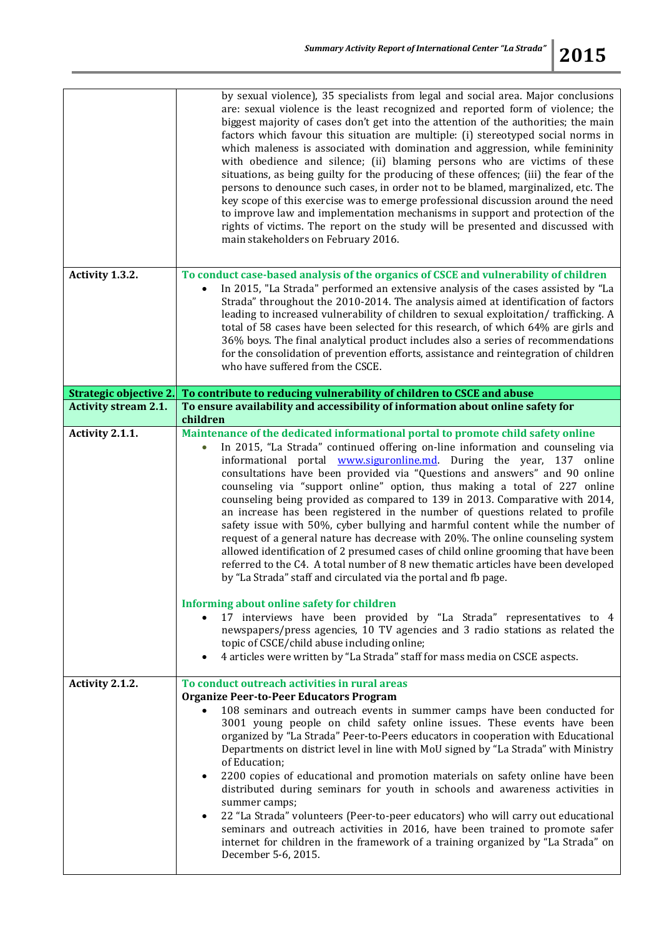|                                                       | by sexual violence), 35 specialists from legal and social area. Major conclusions<br>are: sexual violence is the least recognized and reported form of violence; the<br>biggest majority of cases don't get into the attention of the authorities; the main<br>factors which favour this situation are multiple: (i) stereotyped social norms in<br>which maleness is associated with domination and aggression, while femininity<br>with obedience and silence; (ii) blaming persons who are victims of these<br>situations, as being guilty for the producing of these offences; (iii) the fear of the<br>persons to denounce such cases, in order not to be blamed, marginalized, etc. The<br>key scope of this exercise was to emerge professional discussion around the need<br>to improve law and implementation mechanisms in support and protection of the<br>rights of victims. The report on the study will be presented and discussed with<br>main stakeholders on February 2016.                                                                                                                                                                                                                                                                                                                                           |
|-------------------------------------------------------|----------------------------------------------------------------------------------------------------------------------------------------------------------------------------------------------------------------------------------------------------------------------------------------------------------------------------------------------------------------------------------------------------------------------------------------------------------------------------------------------------------------------------------------------------------------------------------------------------------------------------------------------------------------------------------------------------------------------------------------------------------------------------------------------------------------------------------------------------------------------------------------------------------------------------------------------------------------------------------------------------------------------------------------------------------------------------------------------------------------------------------------------------------------------------------------------------------------------------------------------------------------------------------------------------------------------------------------|
| Activity 1.3.2.                                       | To conduct case-based analysis of the organics of CSCE and vulnerability of children<br>In 2015, "La Strada" performed an extensive analysis of the cases assisted by "La<br>Strada" throughout the 2010-2014. The analysis aimed at identification of factors<br>leading to increased vulnerability of children to sexual exploitation/ trafficking. A<br>total of 58 cases have been selected for this research, of which 64% are girls and<br>36% boys. The final analytical product includes also a series of recommendations<br>for the consolidation of prevention efforts, assistance and reintegration of children<br>who have suffered from the CSCE.                                                                                                                                                                                                                                                                                                                                                                                                                                                                                                                                                                                                                                                                         |
|                                                       |                                                                                                                                                                                                                                                                                                                                                                                                                                                                                                                                                                                                                                                                                                                                                                                                                                                                                                                                                                                                                                                                                                                                                                                                                                                                                                                                        |
| Strategic objective 2.<br><b>Activity stream 2.1.</b> | To contribute to reducing vulnerability of children to CSCE and abuse<br>To ensure availability and accessibility of information about online safety for                                                                                                                                                                                                                                                                                                                                                                                                                                                                                                                                                                                                                                                                                                                                                                                                                                                                                                                                                                                                                                                                                                                                                                               |
|                                                       | children                                                                                                                                                                                                                                                                                                                                                                                                                                                                                                                                                                                                                                                                                                                                                                                                                                                                                                                                                                                                                                                                                                                                                                                                                                                                                                                               |
| Activity 2.1.1.                                       | Maintenance of the dedicated informational portal to promote child safety online<br>In 2015, "La Strada" continued offering on-line information and counseling via<br>informational portal <b>www.siguronline.md</b> . During the year, 137 online<br>consultations have been provided via "Questions and answers" and 90 online<br>counseling via "support online" option, thus making a total of 227 online<br>counseling being provided as compared to 139 in 2013. Comparative with 2014,<br>an increase has been registered in the number of questions related to profile<br>safety issue with 50%, cyber bullying and harmful content while the number of<br>request of a general nature has decrease with 20%. The online counseling system<br>allowed identification of 2 presumed cases of child online grooming that have been<br>referred to the C4. A total number of 8 new thematic articles have been developed<br>by "La Strada" staff and circulated via the portal and fb page.<br>Informing about online safety for children<br>17 interviews have been provided by "La Strada" representatives to 4<br>newspapers/press agencies, 10 TV agencies and 3 radio stations as related the<br>topic of CSCE/child abuse including online;<br>4 articles were written by "La Strada" staff for mass media on CSCE aspects. |
| Activity 2.1.2.                                       | To conduct outreach activities in rural areas<br><b>Organize Peer-to-Peer Educators Program</b><br>108 seminars and outreach events in summer camps have been conducted for<br>3001 young people on child safety online issues. These events have been<br>organized by "La Strada" Peer-to-Peers educators in cooperation with Educational<br>Departments on district level in line with MoU signed by "La Strada" with Ministry<br>of Education;<br>2200 copies of educational and promotion materials on safety online have been<br>distributed during seminars for youth in schools and awareness activities in<br>summer camps;<br>22 "La Strada" volunteers (Peer-to-peer educators) who will carry out educational<br>seminars and outreach activities in 2016, have been trained to promote safer<br>internet for children in the framework of a training organized by "La Strada" on<br>December 5-6, 2015.                                                                                                                                                                                                                                                                                                                                                                                                                    |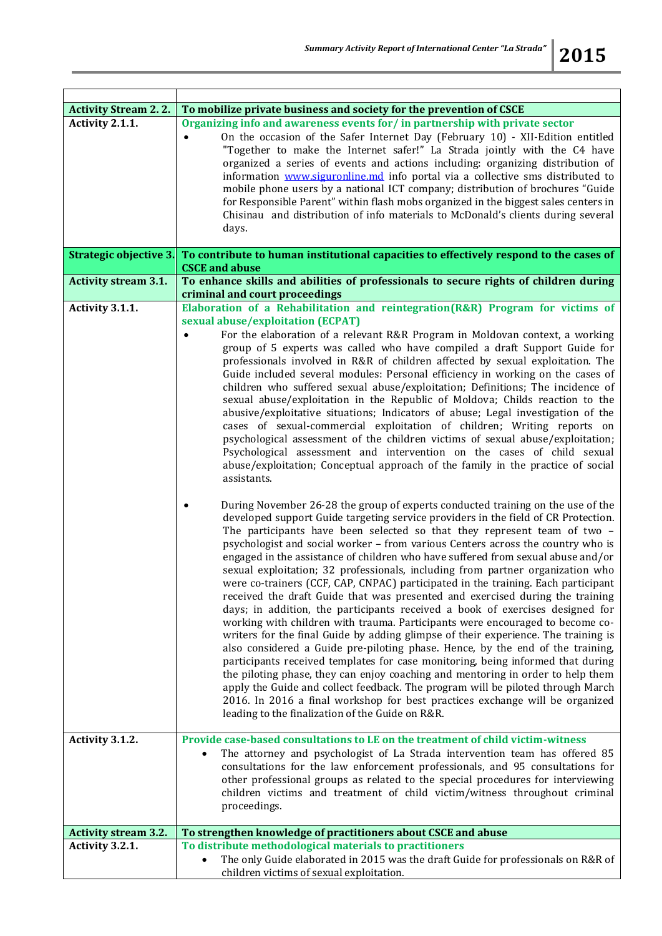| <b>Activity Stream 2.2.</b> | To mobilize private business and society for the prevention of CSCE                                                                                                                                                                                                                                                                                                                                                                                                                                                                                                                                                                                                                                                                                                                                                                                                                                                                                                                                                                                                                                                                                                                                                                                                                                                                                                                                                                                                                                                                                                                                                                                                                                                                                                                                                                                                                                                                                                                                                                                                                                                                                                                                                                                                                                                                                                                                                                                                           |
|-----------------------------|-------------------------------------------------------------------------------------------------------------------------------------------------------------------------------------------------------------------------------------------------------------------------------------------------------------------------------------------------------------------------------------------------------------------------------------------------------------------------------------------------------------------------------------------------------------------------------------------------------------------------------------------------------------------------------------------------------------------------------------------------------------------------------------------------------------------------------------------------------------------------------------------------------------------------------------------------------------------------------------------------------------------------------------------------------------------------------------------------------------------------------------------------------------------------------------------------------------------------------------------------------------------------------------------------------------------------------------------------------------------------------------------------------------------------------------------------------------------------------------------------------------------------------------------------------------------------------------------------------------------------------------------------------------------------------------------------------------------------------------------------------------------------------------------------------------------------------------------------------------------------------------------------------------------------------------------------------------------------------------------------------------------------------------------------------------------------------------------------------------------------------------------------------------------------------------------------------------------------------------------------------------------------------------------------------------------------------------------------------------------------------------------------------------------------------------------------------------------------------|
| Activity 2.1.1.             | Organizing info and awareness events for/in partnership with private sector<br>On the occasion of the Safer Internet Day (February 10) - XII-Edition entitled<br>"Together to make the Internet safer!" La Strada jointly with the C4 have<br>organized a series of events and actions including: organizing distribution of<br>information www.siguronline.md info portal via a collective sms distributed to<br>mobile phone users by a national ICT company; distribution of brochures "Guide<br>for Responsible Parent" within flash mobs organized in the biggest sales centers in<br>Chisinau and distribution of info materials to McDonald's clients during several<br>days.                                                                                                                                                                                                                                                                                                                                                                                                                                                                                                                                                                                                                                                                                                                                                                                                                                                                                                                                                                                                                                                                                                                                                                                                                                                                                                                                                                                                                                                                                                                                                                                                                                                                                                                                                                                          |
| Strategic objective 3.      | To contribute to human institutional capacities to effectively respond to the cases of<br><b>CSCE</b> and abuse                                                                                                                                                                                                                                                                                                                                                                                                                                                                                                                                                                                                                                                                                                                                                                                                                                                                                                                                                                                                                                                                                                                                                                                                                                                                                                                                                                                                                                                                                                                                                                                                                                                                                                                                                                                                                                                                                                                                                                                                                                                                                                                                                                                                                                                                                                                                                               |
| <b>Activity stream 3.1.</b> | To enhance skills and abilities of professionals to secure rights of children during<br>criminal and court proceedings                                                                                                                                                                                                                                                                                                                                                                                                                                                                                                                                                                                                                                                                                                                                                                                                                                                                                                                                                                                                                                                                                                                                                                                                                                                                                                                                                                                                                                                                                                                                                                                                                                                                                                                                                                                                                                                                                                                                                                                                                                                                                                                                                                                                                                                                                                                                                        |
| Activity 3.1.1.             | Elaboration of a Rehabilitation and reintegration(R&R) Program for victims of<br>sexual abuse/exploitation (ECPAT)<br>For the elaboration of a relevant R&R Program in Moldovan context, a working<br>group of 5 experts was called who have compiled a draft Support Guide for<br>professionals involved in R&R of children affected by sexual exploitation. The<br>Guide included several modules: Personal efficiency in working on the cases of<br>children who suffered sexual abuse/exploitation; Definitions; The incidence of<br>sexual abuse/exploitation in the Republic of Moldova; Childs reaction to the<br>abusive/exploitative situations; Indicators of abuse; Legal investigation of the<br>cases of sexual-commercial exploitation of children; Writing reports on<br>psychological assessment of the children victims of sexual abuse/exploitation;<br>Psychological assessment and intervention on the cases of child sexual<br>abuse/exploitation; Conceptual approach of the family in the practice of social<br>assistants.<br>During November 26-28 the group of experts conducted training on the use of the<br>developed support Guide targeting service providers in the field of CR Protection.<br>The participants have been selected so that they represent team of two -<br>psychologist and social worker - from various Centers across the country who is<br>engaged in the assistance of children who have suffered from sexual abuse and/or<br>sexual exploitation; 32 professionals, including from partner organization who<br>were co-trainers (CCF, CAP, CNPAC) participated in the training. Each participant<br>received the draft Guide that was presented and exercised during the training<br>days; in addition, the participants received a book of exercises designed for<br>working with children with trauma. Participants were encouraged to become co-<br>writers for the final Guide by adding glimpse of their experience. The training is<br>also considered a Guide pre-piloting phase. Hence, by the end of the training,<br>participants received templates for case monitoring, being informed that during<br>the piloting phase, they can enjoy coaching and mentoring in order to help them<br>apply the Guide and collect feedback. The program will be piloted through March<br>2016. In 2016 a final workshop for best practices exchange will be organized<br>leading to the finalization of the Guide on R&R. |
| Activity 3.1.2.             | Provide case-based consultations to LE on the treatment of child victim-witness<br>The attorney and psychologist of La Strada intervention team has offered 85<br>consultations for the law enforcement professionals, and 95 consultations for<br>other professional groups as related to the special procedures for interviewing<br>children victims and treatment of child victim/witness throughout criminal<br>proceedings.                                                                                                                                                                                                                                                                                                                                                                                                                                                                                                                                                                                                                                                                                                                                                                                                                                                                                                                                                                                                                                                                                                                                                                                                                                                                                                                                                                                                                                                                                                                                                                                                                                                                                                                                                                                                                                                                                                                                                                                                                                              |
|                             |                                                                                                                                                                                                                                                                                                                                                                                                                                                                                                                                                                                                                                                                                                                                                                                                                                                                                                                                                                                                                                                                                                                                                                                                                                                                                                                                                                                                                                                                                                                                                                                                                                                                                                                                                                                                                                                                                                                                                                                                                                                                                                                                                                                                                                                                                                                                                                                                                                                                               |
| <b>Activity stream 3.2.</b> | To strengthen knowledge of practitioners about CSCE and abuse                                                                                                                                                                                                                                                                                                                                                                                                                                                                                                                                                                                                                                                                                                                                                                                                                                                                                                                                                                                                                                                                                                                                                                                                                                                                                                                                                                                                                                                                                                                                                                                                                                                                                                                                                                                                                                                                                                                                                                                                                                                                                                                                                                                                                                                                                                                                                                                                                 |
| Activity 3.2.1.             | To distribute methodological materials to practitioners                                                                                                                                                                                                                                                                                                                                                                                                                                                                                                                                                                                                                                                                                                                                                                                                                                                                                                                                                                                                                                                                                                                                                                                                                                                                                                                                                                                                                                                                                                                                                                                                                                                                                                                                                                                                                                                                                                                                                                                                                                                                                                                                                                                                                                                                                                                                                                                                                       |
|                             | The only Guide elaborated in 2015 was the draft Guide for professionals on R&R of<br>children victims of sexual exploitation.                                                                                                                                                                                                                                                                                                                                                                                                                                                                                                                                                                                                                                                                                                                                                                                                                                                                                                                                                                                                                                                                                                                                                                                                                                                                                                                                                                                                                                                                                                                                                                                                                                                                                                                                                                                                                                                                                                                                                                                                                                                                                                                                                                                                                                                                                                                                                 |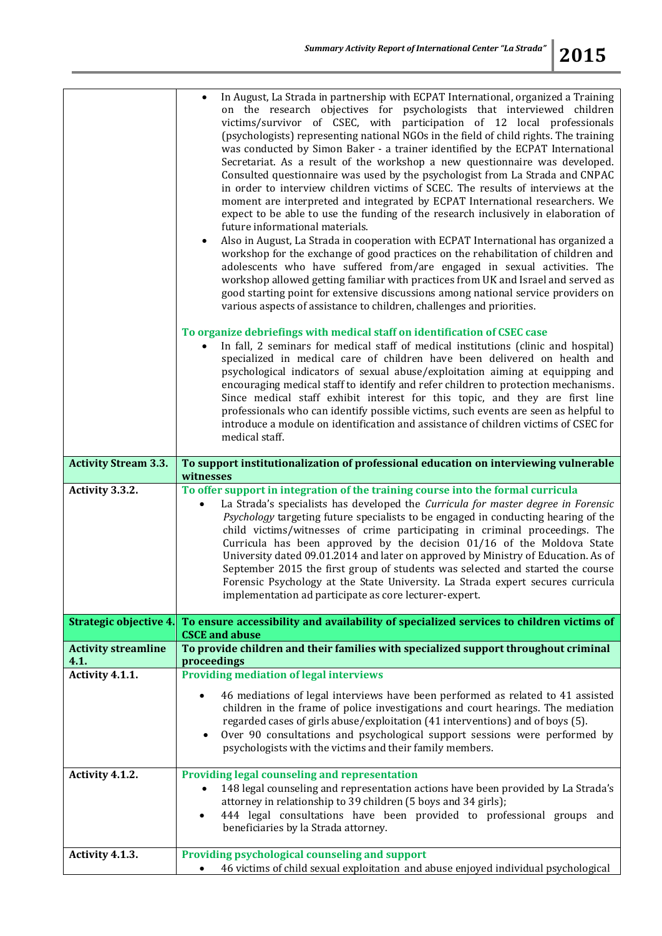|                                    | In August, La Strada in partnership with ECPAT International, organized a Training<br>on the research objectives for psychologists that interviewed children<br>victims/survivor of CSEC, with participation of 12 local professionals<br>(psychologists) representing national NGOs in the field of child rights. The training<br>was conducted by Simon Baker - a trainer identified by the ECPAT International<br>Secretariat. As a result of the workshop a new questionnaire was developed.<br>Consulted questionnaire was used by the psychologist from La Strada and CNPAC<br>in order to interview children victims of SCEC. The results of interviews at the<br>moment are interpreted and integrated by ECPAT International researchers. We<br>expect to be able to use the funding of the research inclusively in elaboration of<br>future informational materials.<br>Also in August, La Strada in cooperation with ECPAT International has organized a<br>workshop for the exchange of good practices on the rehabilitation of children and<br>adolescents who have suffered from/are engaged in sexual activities. The<br>workshop allowed getting familiar with practices from UK and Israel and served as<br>good starting point for extensive discussions among national service providers on<br>various aspects of assistance to children, challenges and priorities.<br>To organize debriefings with medical staff on identification of CSEC case<br>In fall, 2 seminars for medical staff of medical institutions (clinic and hospital)<br>specialized in medical care of children have been delivered on health and<br>psychological indicators of sexual abuse/exploitation aiming at equipping and<br>encouraging medical staff to identify and refer children to protection mechanisms.<br>Since medical staff exhibit interest for this topic, and they are first line<br>professionals who can identify possible victims, such events are seen as helpful to<br>introduce a module on identification and assistance of children victims of CSEC for<br>medical staff. |
|------------------------------------|-------------------------------------------------------------------------------------------------------------------------------------------------------------------------------------------------------------------------------------------------------------------------------------------------------------------------------------------------------------------------------------------------------------------------------------------------------------------------------------------------------------------------------------------------------------------------------------------------------------------------------------------------------------------------------------------------------------------------------------------------------------------------------------------------------------------------------------------------------------------------------------------------------------------------------------------------------------------------------------------------------------------------------------------------------------------------------------------------------------------------------------------------------------------------------------------------------------------------------------------------------------------------------------------------------------------------------------------------------------------------------------------------------------------------------------------------------------------------------------------------------------------------------------------------------------------------------------------------------------------------------------------------------------------------------------------------------------------------------------------------------------------------------------------------------------------------------------------------------------------------------------------------------------------------------------------------------------------------------------------------------------------------------------------------------------------------------------------------|
| <b>Activity Stream 3.3.</b>        | To support institutionalization of professional education on interviewing vulnerable<br>witnesses                                                                                                                                                                                                                                                                                                                                                                                                                                                                                                                                                                                                                                                                                                                                                                                                                                                                                                                                                                                                                                                                                                                                                                                                                                                                                                                                                                                                                                                                                                                                                                                                                                                                                                                                                                                                                                                                                                                                                                                               |
| Activity 3.3.2.                    | To offer support in integration of the training course into the formal curricula<br>La Strada's specialists has developed the Curricula for master degree in Forensic<br>$\bullet$<br>Psychology targeting future specialists to be engaged in conducting hearing of the<br>child victims/witnesses of crime participating in criminal proceedings. The<br>Curricula has been approved by the decision 01/16 of the Moldova State<br>University dated 09.01.2014 and later on approved by Ministry of Education. As of<br>September 2015 the first group of students was selected and started the course<br>Forensic Psychology at the State University. La Strada expert secures curricula<br>implementation ad participate as core lecturer-expert.                                                                                                                                                                                                                                                                                                                                                                                                                                                                                                                                                                                                                                                                                                                                                                                                                                                                                                                                                                                                                                                                                                                                                                                                                                                                                                                                           |
| Strategic objective 4.             | To ensure accessibility and availability of specialized services to children victims of<br><b>CSCE and abuse</b>                                                                                                                                                                                                                                                                                                                                                                                                                                                                                                                                                                                                                                                                                                                                                                                                                                                                                                                                                                                                                                                                                                                                                                                                                                                                                                                                                                                                                                                                                                                                                                                                                                                                                                                                                                                                                                                                                                                                                                                |
| <b>Activity streamline</b><br>4.1. | To provide children and their families with specialized support throughout criminal<br>proceedings                                                                                                                                                                                                                                                                                                                                                                                                                                                                                                                                                                                                                                                                                                                                                                                                                                                                                                                                                                                                                                                                                                                                                                                                                                                                                                                                                                                                                                                                                                                                                                                                                                                                                                                                                                                                                                                                                                                                                                                              |
| Activity 4.1.1.                    | <b>Providing mediation of legal interviews</b>                                                                                                                                                                                                                                                                                                                                                                                                                                                                                                                                                                                                                                                                                                                                                                                                                                                                                                                                                                                                                                                                                                                                                                                                                                                                                                                                                                                                                                                                                                                                                                                                                                                                                                                                                                                                                                                                                                                                                                                                                                                  |
|                                    | 46 mediations of legal interviews have been performed as related to 41 assisted<br>$\bullet$<br>children in the frame of police investigations and court hearings. The mediation<br>regarded cases of girls abuse/exploitation (41 interventions) and of boys (5).<br>Over 90 consultations and psychological support sessions were performed by<br>psychologists with the victims and their family members.                                                                                                                                                                                                                                                                                                                                                                                                                                                                                                                                                                                                                                                                                                                                                                                                                                                                                                                                                                                                                                                                                                                                                                                                                                                                                                                                                                                                                                                                                                                                                                                                                                                                                    |
| Activity 4.1.2.                    | Providing legal counseling and representation<br>148 legal counseling and representation actions have been provided by La Strada's<br>attorney in relationship to 39 children (5 boys and 34 girls);<br>444 legal consultations have been provided to professional groups and<br>$\bullet$<br>beneficiaries by la Strada attorney.                                                                                                                                                                                                                                                                                                                                                                                                                                                                                                                                                                                                                                                                                                                                                                                                                                                                                                                                                                                                                                                                                                                                                                                                                                                                                                                                                                                                                                                                                                                                                                                                                                                                                                                                                              |
| Activity 4.1.3.                    | Providing psychological counseling and support<br>46 victims of child sexual exploitation and abuse enjoyed individual psychological<br>$\bullet$                                                                                                                                                                                                                                                                                                                                                                                                                                                                                                                                                                                                                                                                                                                                                                                                                                                                                                                                                                                                                                                                                                                                                                                                                                                                                                                                                                                                                                                                                                                                                                                                                                                                                                                                                                                                                                                                                                                                               |